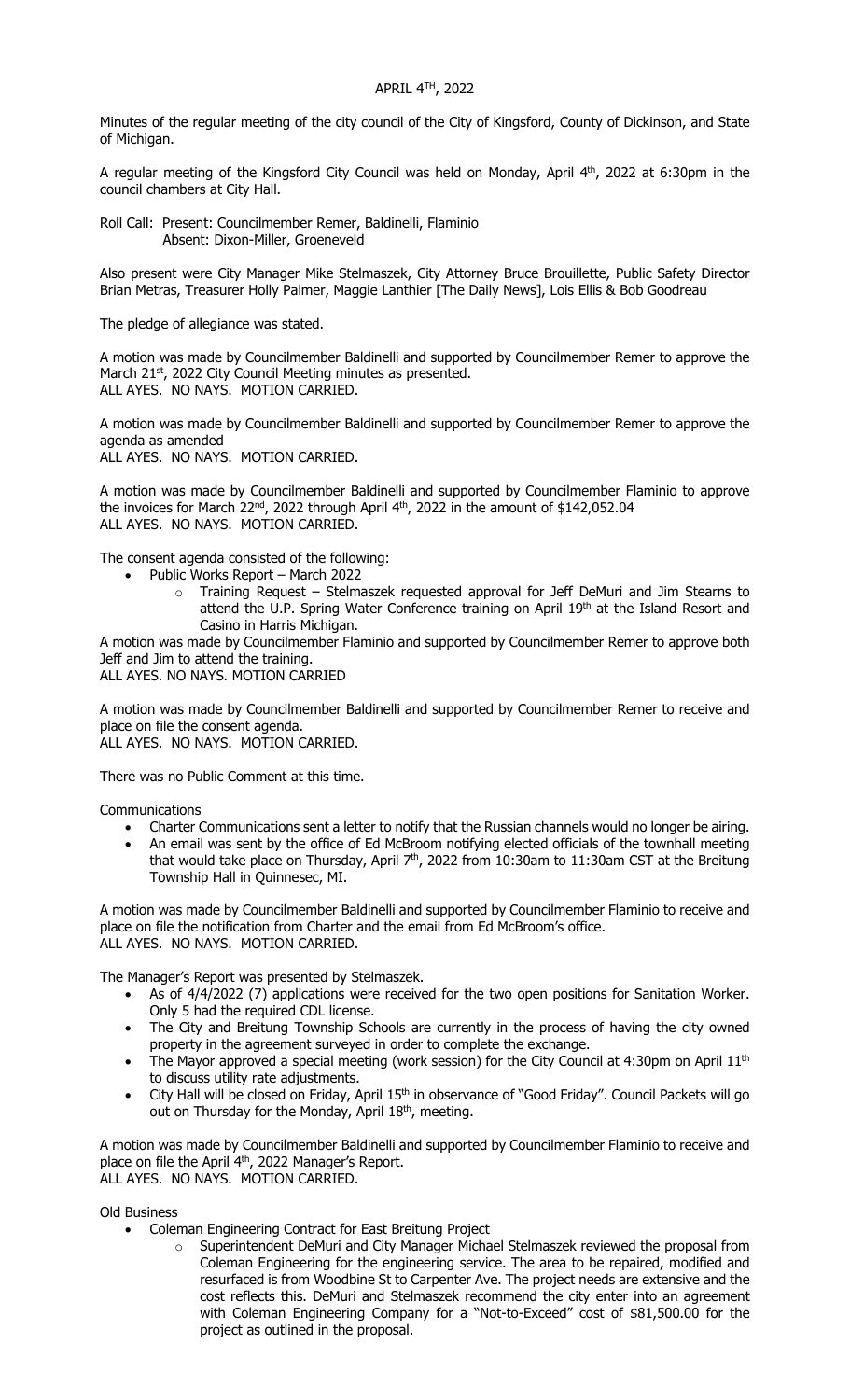Minutes of the regular meeting of the city council of the City of Kingsford, County of Dickinson, and State of Michigan.

A regular meeting of the Kingsford City Council was held on Monday, April  $4<sup>th</sup>$ , 2022 at 6:30pm in the council chambers at City Hall.

Roll Call: Present: Councilmember Remer, Baldinelli, Flaminio Absent: Dixon-Miller, Groeneveld

Also present were City Manager Mike Stelmaszek, City Attorney Bruce Brouillette, Public Safety Director Brian Metras, Treasurer Holly Palmer, Maggie Lanthier [The Daily News], Lois Ellis & Bob Goodreau

The pledge of allegiance was stated.

A motion was made by Councilmember Baldinelli and supported by Councilmember Remer to approve the March 21<sup>st</sup>, 2022 City Council Meeting minutes as presented. ALL AYES. NO NAYS. MOTION CARRIED.

A motion was made by Councilmember Baldinelli and supported by Councilmember Remer to approve the agenda as amended ALL AYES. NO NAYS. MOTION CARRIED.

A motion was made by Councilmember Baldinelli and supported by Councilmember Flaminio to approve the invoices for March  $22^{nd}$ , 2022 through April  $4^{th}$ , 2022 in the amount of \$142,052.04 ALL AYES. NO NAYS. MOTION CARRIED.

The consent agenda consisted of the following:

- Public Works Report March 2022
	- o Training Request Stelmaszek requested approval for Jeff DeMuri and Jim Stearns to attend the U.P. Spring Water Conference training on April 19th at the Island Resort and Casino in Harris Michigan.

A motion was made by Councilmember Flaminio and supported by Councilmember Remer to approve both Jeff and Jim to attend the training.

ALL AYES. NO NAYS. MOTION CARRIED

A motion was made by Councilmember Baldinelli and supported by Councilmember Remer to receive and place on file the consent agenda.

ALL AYES. NO NAYS. MOTION CARRIED.

There was no Public Comment at this time.

Communications

- Charter Communications sent a letter to notify that the Russian channels would no longer be airing.
- An email was sent by the office of Ed McBroom notifying elected officials of the townhall meeting that would take place on Thursday, April  $7<sup>th</sup>$ , 2022 from 10:30am to 11:30am CST at the Breitung Township Hall in Quinnesec, MI.

A motion was made by Councilmember Baldinelli and supported by Councilmember Flaminio to receive and place on file the notification from Charter and the email from Ed McBroom's office. ALL AYES. NO NAYS. MOTION CARRIED.

The Manager's Report was presented by Stelmaszek.

- As of 4/4/2022 (7) applications were received for the two open positions for Sanitation Worker. Only 5 had the required CDL license.
- The City and Breitung Township Schools are currently in the process of having the city owned property in the agreement surveyed in order to complete the exchange.
- The Mayor approved a special meeting (work session) for the City Council at 4:30pm on April  $11<sup>th</sup>$ to discuss utility rate adjustments.
- City Hall will be closed on Friday, April 15<sup>th</sup> in observance of "Good Friday". Council Packets will go out on Thursday for the Monday, April 18th, meeting.

A motion was made by Councilmember Baldinelli and supported by Councilmember Flaminio to receive and place on file the April 4<sup>th</sup>, 2022 Manager's Report. ALL AYES. NO NAYS. MOTION CARRIED.

Old Business

- Coleman Engineering Contract for East Breitung Project
	- o Superintendent DeMuri and City Manager Michael Stelmaszek reviewed the proposal from Coleman Engineering for the engineering service. The area to be repaired, modified and resurfaced is from Woodbine St to Carpenter Ave. The project needs are extensive and the cost reflects this. DeMuri and Stelmaszek recommend the city enter into an agreement with Coleman Engineering Company for a "Not-to-Exceed" cost of \$81,500.00 for the project as outlined in the proposal.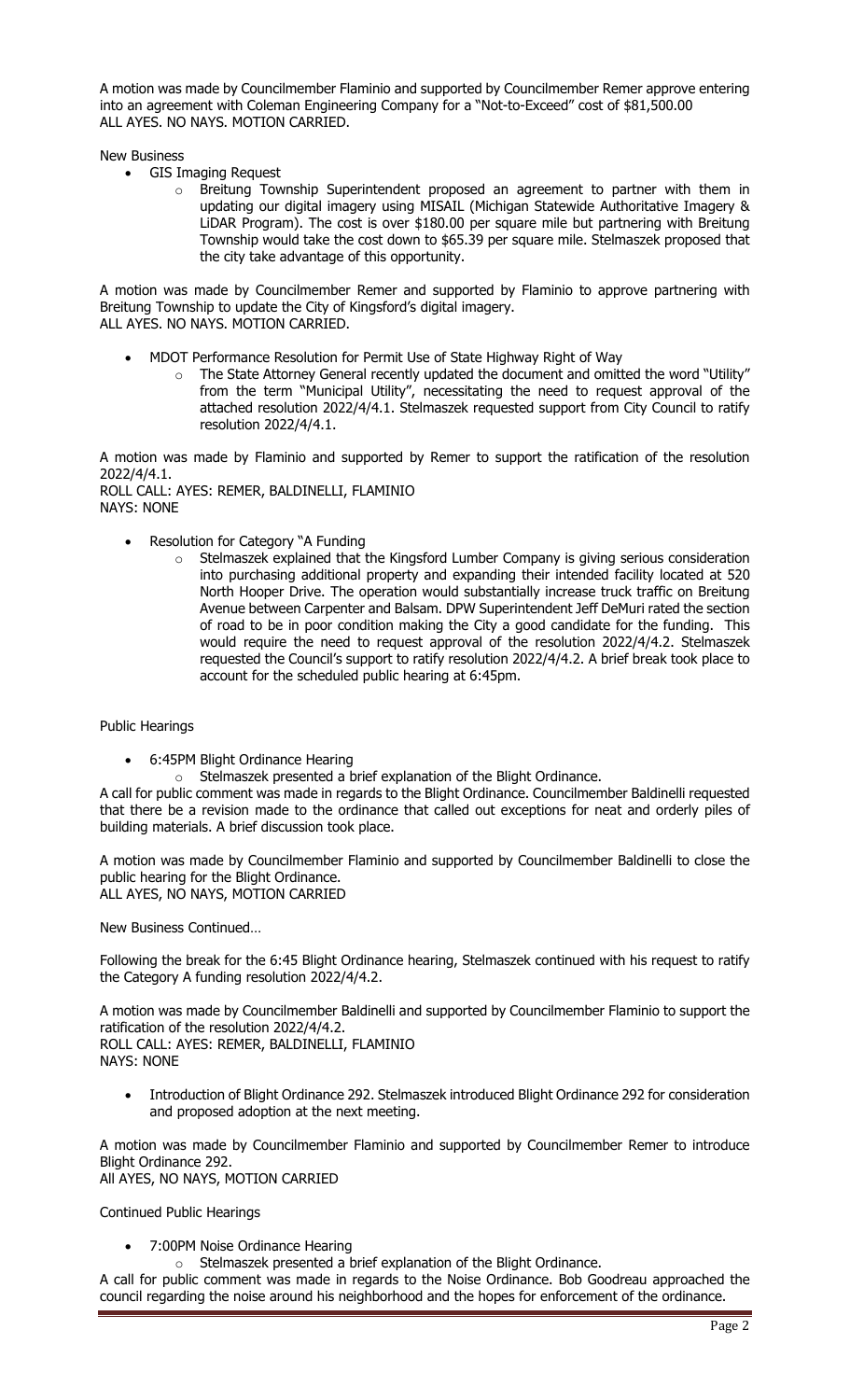A motion was made by Councilmember Flaminio and supported by Councilmember Remer approve entering into an agreement with Coleman Engineering Company for a "Not-to-Exceed" cost of \$81,500.00 ALL AYES. NO NAYS. MOTION CARRIED.

New Business

- GIS Imaging Request
	- o Breitung Township Superintendent proposed an agreement to partner with them in updating our digital imagery using MISAIL (Michigan Statewide Authoritative Imagery & LiDAR Program). The cost is over \$180.00 per square mile but partnering with Breitung Township would take the cost down to \$65.39 per square mile. Stelmaszek proposed that the city take advantage of this opportunity.

A motion was made by Councilmember Remer and supported by Flaminio to approve partnering with Breitung Township to update the City of Kingsford's digital imagery. ALL AYES. NO NAYS. MOTION CARRIED.

- MDOT Performance Resolution for Permit Use of State Highway Right of Way
	- o The State Attorney General recently updated the document and omitted the word "Utility" from the term "Municipal Utility", necessitating the need to request approval of the attached resolution 2022/4/4.1. Stelmaszek requested support from City Council to ratify resolution 2022/4/4.1.

A motion was made by Flaminio and supported by Remer to support the ratification of the resolution 2022/4/4.1. ROLL CALL: AYES: REMER, BALDINELLI, FLAMINIO

NAYS: NONE

- Resolution for Category "A Funding
	- Stelmaszek explained that the Kingsford Lumber Company is giving serious consideration into purchasing additional property and expanding their intended facility located at 520 North Hooper Drive. The operation would substantially increase truck traffic on Breitung Avenue between Carpenter and Balsam. DPW Superintendent Jeff DeMuri rated the section of road to be in poor condition making the City a good candidate for the funding. This would require the need to request approval of the resolution 2022/4/4.2. Stelmaszek requested the Council's support to ratify resolution 2022/4/4.2. A brief break took place to account for the scheduled public hearing at 6:45pm.

Public Hearings

- 6:45PM Blight Ordinance Hearing
- o Stelmaszek presented a brief explanation of the Blight Ordinance.

A call for public comment was made in regards to the Blight Ordinance. Councilmember Baldinelli requested that there be a revision made to the ordinance that called out exceptions for neat and orderly piles of building materials. A brief discussion took place.

A motion was made by Councilmember Flaminio and supported by Councilmember Baldinelli to close the public hearing for the Blight Ordinance. ALL AYES, NO NAYS, MOTION CARRIED

New Business Continued…

Following the break for the 6:45 Blight Ordinance hearing, Stelmaszek continued with his request to ratify the Category A funding resolution 2022/4/4.2.

A motion was made by Councilmember Baldinelli and supported by Councilmember Flaminio to support the ratification of the resolution 2022/4/4.2. ROLL CALL: AYES: REMER, BALDINELLI, FLAMINIO NAYS: NONE

 Introduction of Blight Ordinance 292. Stelmaszek introduced Blight Ordinance 292 for consideration and proposed adoption at the next meeting.

A motion was made by Councilmember Flaminio and supported by Councilmember Remer to introduce Blight Ordinance 292. All AYES, NO NAYS, MOTION CARRIED

Continued Public Hearings

7:00PM Noise Ordinance Hearing

o Stelmaszek presented a brief explanation of the Blight Ordinance.

A call for public comment was made in regards to the Noise Ordinance. Bob Goodreau approached the council regarding the noise around his neighborhood and the hopes for enforcement of the ordinance.